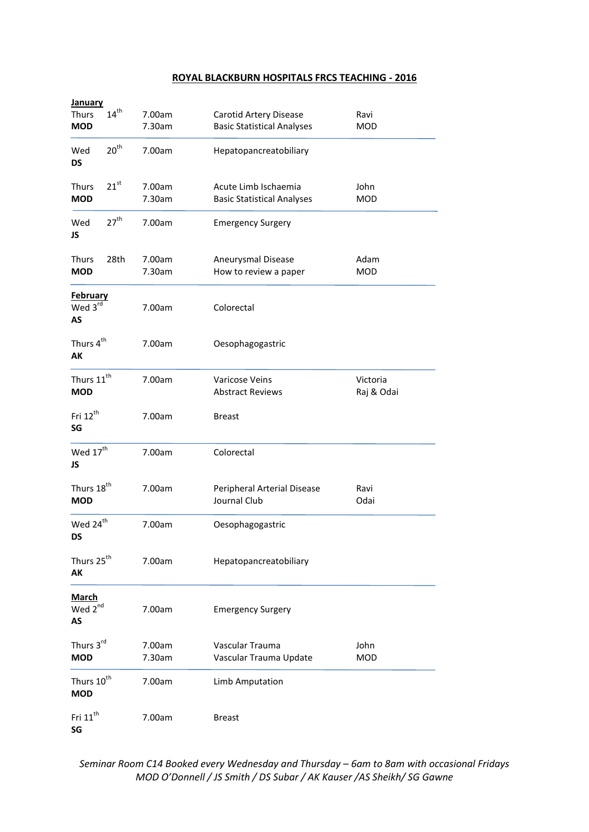# **ROYAL BLACKBURN HOSPITALS FRCS TEACHING - 2016**

| <b>January</b>                            |                  |                  |                                                             |                        |
|-------------------------------------------|------------------|------------------|-------------------------------------------------------------|------------------------|
| <b>Thurs</b><br><b>MOD</b>                | $14^{\rm th}$    | 7.00am<br>7.30am | Carotid Artery Disease<br><b>Basic Statistical Analyses</b> | Ravi<br><b>MOD</b>     |
| Wed<br><b>DS</b>                          | 20 <sup>th</sup> | 7.00am           | Hepatopancreatobiliary                                      |                        |
| Thurs<br><b>MOD</b>                       | $21^{st}$        | 7.00am<br>7.30am | Acute Limb Ischaemia<br><b>Basic Statistical Analyses</b>   | John<br><b>MOD</b>     |
| Wed<br>JS                                 | 27 <sup>th</sup> | 7.00am           | <b>Emergency Surgery</b>                                    |                        |
| <b>Thurs</b><br><b>MOD</b>                | 28th             | 7.00am<br>7.30am | Aneurysmal Disease<br>How to review a paper                 | Adam<br><b>MOD</b>     |
| <u>February</u><br>Wed 3rd<br>AS          |                  | 7.00am           | Colorectal                                                  |                        |
| Thurs 4 <sup>th</sup><br>AK               |                  | 7.00am           | Oesophagogastric                                            |                        |
| Thurs 11 <sup>th</sup><br><b>MOD</b>      |                  | 7.00am           | Varicose Veins<br><b>Abstract Reviews</b>                   | Victoria<br>Raj & Odai |
| Fri 12 <sup>th</sup><br>SG                |                  | 7.00am           | <b>Breast</b>                                               |                        |
| Wed $17^{\text{th}}$<br>JS                |                  | 7.00am           | Colorectal                                                  |                        |
| Thurs 18 <sup>th</sup><br><b>MOD</b>      |                  | 7.00am           | Peripheral Arterial Disease<br>Journal Club                 | Ravi<br>Odai           |
| Wed 24 <sup>th</sup><br><b>DS</b>         |                  | 7.00am           | Oesophagogastric                                            |                        |
| Thurs 25 <sup>th</sup><br>AK              |                  | 7.00am           | Hepatopancreatobiliary                                      |                        |
| <b>March</b><br>Wed 2 <sup>nd</sup><br>AS |                  | 7.00am           | <b>Emergency Surgery</b>                                    |                        |
| Thurs 3rd<br><b>MOD</b>                   |                  | 7.00am<br>7.30am | Vascular Trauma<br>Vascular Trauma Update                   | John<br><b>MOD</b>     |
| Thurs 10 <sup>th</sup><br><b>MOD</b>      |                  | 7.00am           | Limb Amputation                                             |                        |
| Fri 11 <sup>th</sup><br>SG                |                  | 7.00am           | <b>Breast</b>                                               |                        |

*Seminar Room C14 Booked every Wednesday and Thursday – 6am to 8am with occasional Fridays MOD O'Donnell / JS Smith / DS Subar / AK Kauser /AS Sheikh/ SG Gawne*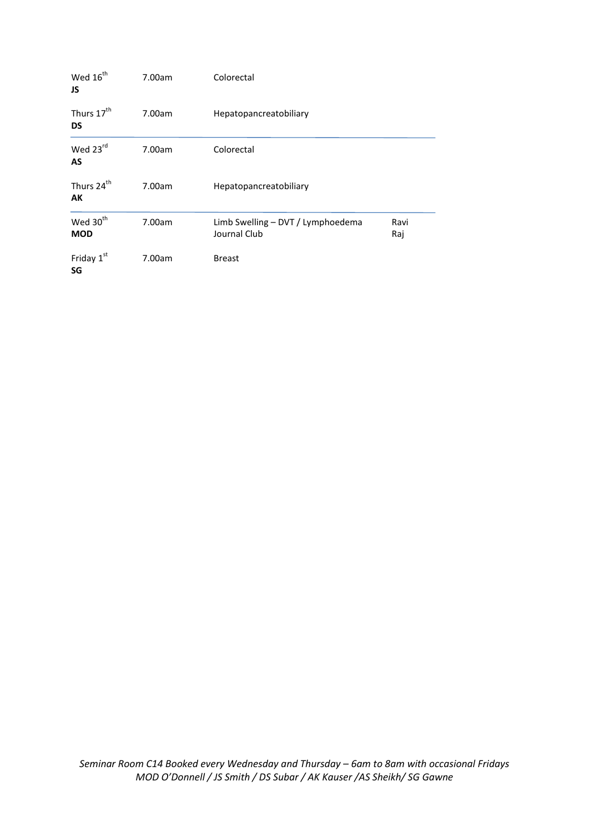| Wed 16 <sup>th</sup><br>JS   | 7.00am | Colorectal                                        |             |
|------------------------------|--------|---------------------------------------------------|-------------|
| Thurs 17 <sup>th</sup><br>DS | 7.00am | Hepatopancreatobiliary                            |             |
| Wed 23rd<br>AS               | 7.00am | Colorectal                                        |             |
| Thurs 24 <sup>th</sup><br>АΚ | 7.00am | Hepatopancreatobiliary                            |             |
| Wed 30 <sup>th</sup><br>MOD  | 7.00am | Limb Swelling - DVT / Lymphoedema<br>Journal Club | Ravi<br>Raj |
| Friday 1st<br>SG             | 7.00am | <b>Breast</b>                                     |             |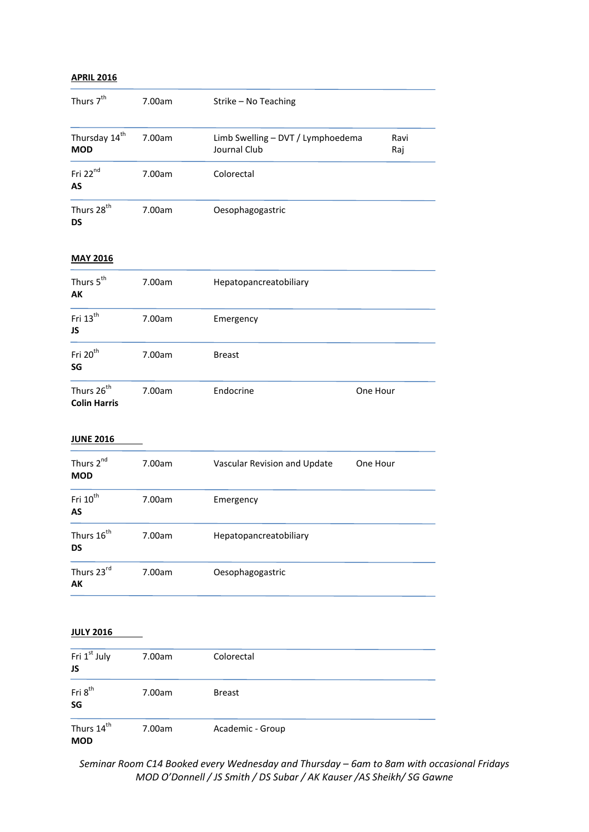### **APRIL 2016**

| Thurs 7 <sup>th</sup>                   | 7.00am | Strike - No Teaching                              |             |
|-----------------------------------------|--------|---------------------------------------------------|-------------|
| Thursday 14 <sup>th</sup><br><b>MOD</b> | 7.00am | Limb Swelling - DVT / Lymphoedema<br>Journal Club | Ravi<br>Raj |
| Fri 22 <sup>nd</sup><br>AS              | 7.00am | Colorectal                                        |             |
| Thurs 28 <sup>th</sup><br>DS            | 7.00am | Oesophagogastric                                  |             |

### **MAY 2016**

| Thurs 5 <sup>th</sup><br><b>AK</b>            | 7.00am | Hepatopancreatobiliary |          |
|-----------------------------------------------|--------|------------------------|----------|
| Fri 13 <sup>th</sup><br>JS                    | 7.00am | Emergency              |          |
| Fri 20 <sup>th</sup><br>SG                    | 7.00am | <b>Breast</b>          |          |
| Thurs 26 <sup>th</sup><br><b>Colin Harris</b> | 7.00am | Endocrine              | One Hour |

### **JUNE 2016**

| Thurs 2 <sup>nd</sup><br><b>MOD</b> | 7.00am | Vascular Revision and Update | One Hour |
|-------------------------------------|--------|------------------------------|----------|
| Fri 10 <sup>th</sup><br>AS          | 7.00am | Emergency                    |          |
| Thurs 16 <sup>th</sup><br>DS        | 7.00am | Hepatopancreatobiliary       |          |
| Thurs 23rd<br>AK                    | 7.00am | Oesophagogastric             |          |

# **JULY 2016**

| Fri 1 <sup>st</sup> July<br>JS       | 7.00am | Colorectal       |  |
|--------------------------------------|--------|------------------|--|
| Fri 8 <sup>th</sup><br>SG            | 7.00am | <b>Breast</b>    |  |
| Thurs 14 <sup>th</sup><br><b>MOD</b> | 7.00am | Academic - Group |  |

*Seminar Room C14 Booked every Wednesday and Thursday – 6am to 8am with occasional Fridays MOD O'Donnell / JS Smith / DS Subar / AK Kauser /AS Sheikh/ SG Gawne*